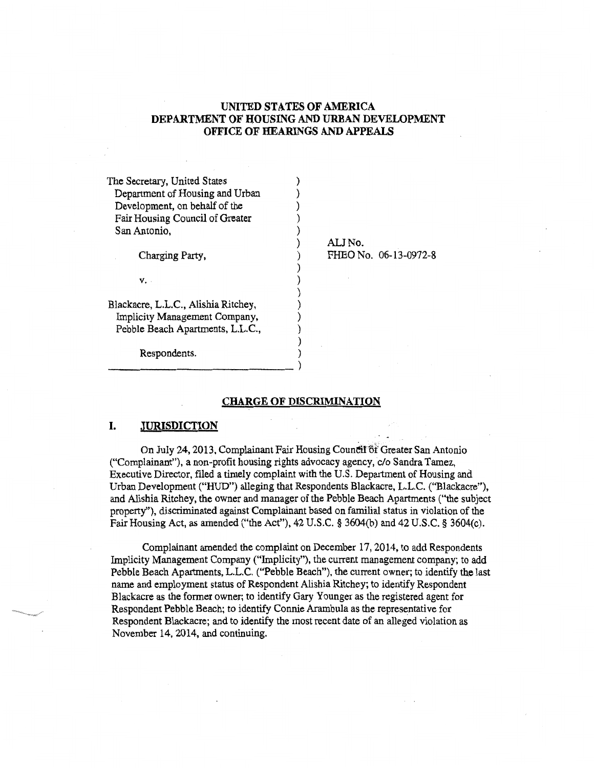## UNITED STATES OF AMERICA DEPARTMENT OF HOUSING AND URBAN DEVELOPMENT OFFICE OF HEARINGS AND APPEALS

| The Secretary, United States        |                       |  |
|-------------------------------------|-----------------------|--|
| Department of Housing and Urban     |                       |  |
| Development, on behalf of the       |                       |  |
| Fair Housing Council of Greater     |                       |  |
| San Antonio,                        |                       |  |
|                                     | ALI No.               |  |
| Charging Party,                     | FHEO No. 06-13-0972-8 |  |
|                                     |                       |  |
| V. -                                |                       |  |
|                                     |                       |  |
| Blackacre, L.L.C., Alishia Ritchey, |                       |  |
| Implicity Management Company,       |                       |  |
| Pebble Beach Apartments, L.L.C.,    |                       |  |
|                                     |                       |  |
| Respondents.                        |                       |  |
|                                     |                       |  |

## CHARGE OF DISCRIMINATION

#### I. JURISDICTION

On July 24, 2013, Complainant Fair Housing Council of Greater San Antonio ("Complainant"), a non-profit housing rights advocacy agency, c/o Sandra Tamez, Executive Director, filed a timely complaint with the U.S. Department of Housing and Urban Development ("HUD") alleging that Respondents Blackacre, L.L.C. ("Blackacre"), and Alishia Ritchey, the owner and manager of the Pebble Beach Apartments ("the subject property"), discriminated against Complainant based on familial status in violation of the Fair Housing Act, as amended ("the Act"), 42 U.S.C. § 3604(b) and 42 U.S.C. § 3604(c).

Complainant amended the complaint on December 17, 2014, to add Respondents Implicity Management Company ("Implicity"), the current management company; to add Pebble Beach Apartments, L.L.C. ("Pebble Beach"), the current owner; to identify the last name and employment status of Respondent Alishia Ritchey; to identify Respondent Blackacre as the former owner; to identify Gary Younger as the registered agent for Respondent Pebble Beach; to identify Connie Arambula as the representative for Respondent Blackacre; and to identify the most recent date of an alleged violation as November 14, 2014, and continuing.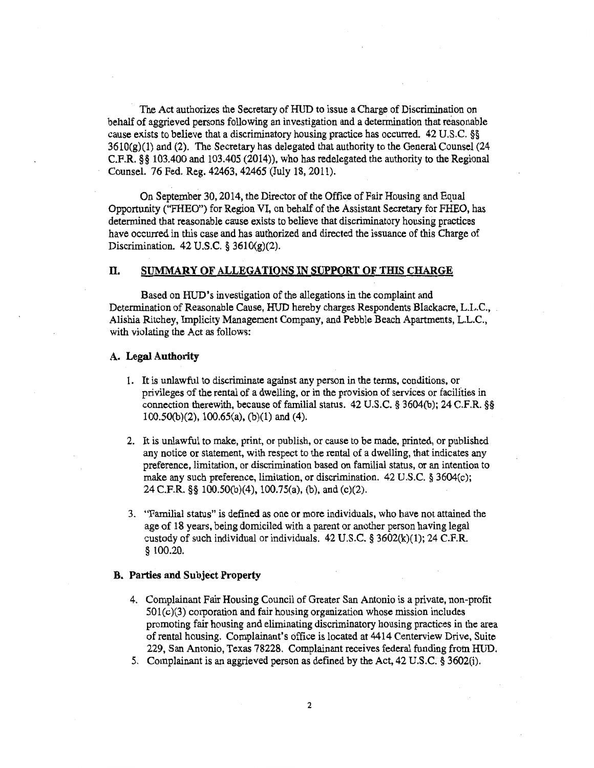The Act authorizes the Secretary of HUD to issue a Charge of Discrimination on behalf of aggrieved persons following an investigation and a determination that reasonable cause exists to believe that a discriminatory housing practice has occurred. 42 U.S.C. §§  $3610(g)(1)$  and (2). The Secretary has delegated that authority to the General Counsel (24 C.F.R. §§ 103.400 and 103.405 (2014)), who has redelegated the authority to the Regional Counsel. 76 Fed. Reg. 42463, 42465 (July 18, 2011).

On September 30, 2014, the Director of the Office of Fair Housing and Equal Opportunity ("FHEO") for Region VI, on behalf of the Assistant Secretary for FHEO, has determined that reasonable cause exists to believe that discriminatory housing practices have occurred in this case and has authorized and directed the issuance of this Charge of Discrimination. 42 U.S.C. § 3610(g)(2).

## **H. SUMMARY OF ALLEGATIONS IN SUPPORT OF THIS CHARGE**

Based on HUD's investigation of the allegations in the complaint and Determination of Reasonable Cause, HUD hereby charges Respondents Blackacre, L.L.C., Alishia Ritchey, Implicity Management Company, and Pebble Beach Apartments, L.L.C., with violating the Act as follows:

#### **A. Legal Authority**

- 1. It is unlawful to discriminate against any person in the terms, conditions, or privileges of the rental of a dwelling, or in the provision of services or facilities in connection therewith, because of familial status. 42 U.S.C. § 3604(b); 24 C.F.R. §§ 100.50(b)(2), 100.65(a), (b)(1) and (4).
- 2. It is unlawful to make, print, or publish, or cause to be made, printed, or published any notice or statement, with respect to the rental of a dwelling, that indicates any preference, limitation, or discrimination based on familial status, or an intention to make any such preference, limitation, or discrimination. 42 U.S.C. § 3604(c); 24 C.F.R. §§ 100.50(b)(4), 100.75(a), (b), and (c)(2).
- 3. "Familial status" is defined as one or more individuals, who have not attained the age of 18 years, being domiciled with a parent or another person having legal custody of such individual or individuals. 42 U.S.C. § 3602(k)(1); 24 C.F.R. § 100.20.

### **B. Parties and Subject Property**

- 4. Complainant Fair Housing Council of Greater San Antonio is a private, non-profit  $501(c)(3)$  corporation and fair housing organization whose mission includes promoting fair housing and eliminating discriminatory housing practices in the area of rental housing. Complainant's office is located at 4414 Centerview Drive, Suite 229, San Antonio, Texas 78228. Complainant receives federal funding from HUD.
- 5. Complainant is an aggrieved person as defined by the Act, 42 U.S.C. § 3602(i).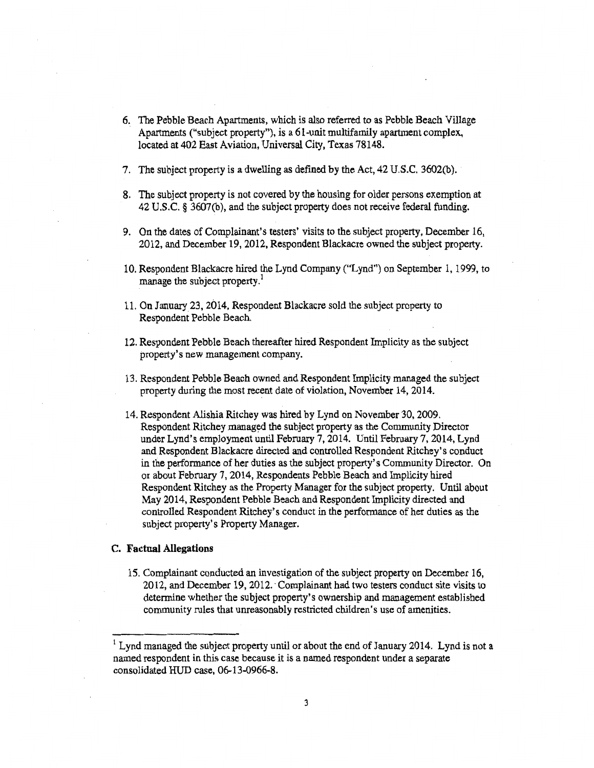- 6. The Pebble Beach Apartments, which is also referred to as Pebble Beach Village Apartments ("subject property"), is a 61-unit multifamily apartment complex, located at 402 East Aviation, Universal City, Texas 78148.
- 7. The subject property is a dwelling as defined by the Act, 42 U.S.C. 3602(b).
- 8. The subject property is not covered by the housing for older persons exemption at 42 U.S.C. § 3607(b), and the subject property does not receive federal funding.
- 9. On the dates of Complainant's testers' visits to the subject property, December 16, 2012, and December 19, 2012, Respondent Blackacre owned the subject property.
- 10. Respondent Blackacre hired the Lynd Company ("Lynd") on September 1, 1999, to manage the subject property.<sup>1</sup>
- 11. On January 23, 2014, Respondent Blackacre sold the subject property to Respondent Pebble Beach.
- 12. Respondent Pebble Beach thereafter hired Respondent Implicity as the subject property's new management company.
- 13. Respondent Pebble Beach owned and Respondent Implicity managed the subject property during the most recent date of violation, November 14, 2014.
- 14. Respondent Alishia Ritchey was hired by Lynd on November 30, 2009. Respondent Ritchey managed the subject property as the Community Director under Lynd's employment until February 7, 2014. Until February 7, 2014, Lynd and Respondent Blackacre directed and controlled Respondent Ritchey's conduct in the performance of her duties as the subject property's Community Director. On or about February 7, 2014, Respondents Pebble Beach and Implicity hired Respondent Ritchey as the Property Manager for the subject property. Until about May 2014, Respondent Pebble Beach and Respondent Implicity directed and controlled Respondent Ritchey's conduct in the performance of her duties as the subject property's Property Manager.

### **C. Factual Allegations**

15. Complainant conducted an investigation of the subject property on December 16, 2012, and December 19, 2012. Complainant had two testers conduct site visits to determine whether the subject property's ownership and management established community rules that unreasonably restricted children's use of amenities.

 $1$  Lynd managed the subject property until or about the end of January 2014. Lynd is not a named respondent in this case because it is a named respondent under a separate consolidated HUD case, 06-13-0966-8.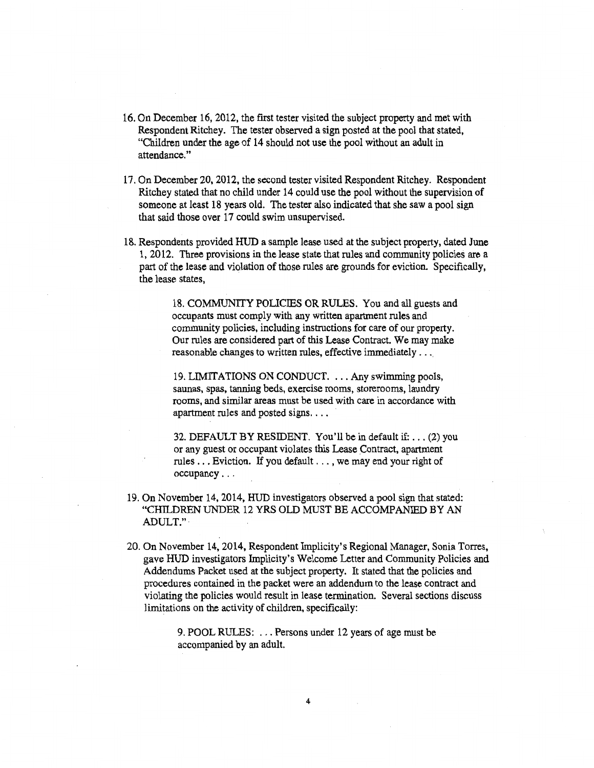- 16. On December 16, 2012, the first tester visited the subject property and met with Respondent Ritchey. The tester observed a sign posted at the pool that stated, "Children under the age of 14 should not use the pool without an adult in attendance."
- 17. On December 20, 2012, the second tester visited Respondent Ritchey. Respondent Ritchey stated that no child under 14 could use the pool without the supervision of someone at least 18 years old. The tester also indicated that she saw a pool sign that said those over 17 could swim unsupervised.
- 18. Respondents provided HUD a sample lease used at the subject property, dated June 1, 2012. Three provisions in the lease state that rules and community policies are a part of the lease and violation of those rules are grounds for eviction. Specifically, the lease states,

18. COMMUNITY POLICIES OR RULES. You and all guests and occupants must comply with any written apartment rules and community policies, including instructions for care of our property. Our rules are considered part of this Lease Contract. We may make reasonable changes to written rules, effective immediately . . .

19. LIMITATIONS ON CONDUCT. . .. Any swimming pools, saunas, spas, tanning beds, exercise rooms, storerooms, laundry rooms, and similar areas must be used with care in accordance with apartment rules and posted signs...

32. DEFAULT BY RESIDENT. You'll be in default if: . . . (2) you or any guest or occupant violates this Lease Contract, apartment rules  $\dots$ . Eviction. If you default  $\dots$ , we may end your right of occupancy...

- 19. On November 14, 2014, HUD investigators observed a pool sign that stated: "CHILDREN UNDER 12 YRS OLD MUST BE ACCOMPANIED BY AN ADULT."
- 20. On November 14, 2014, Respondent Implicity' s Regional Manager, Sonia Torres, gave HUD investigators Implicity's Welcome Letter and Community Policies and Addendums Packet used at the subject property. It stated that the policies and procedures contained in the packet were an addendum to the lease contract and violating the policies would result in lease termination. Several sections discuss limitations on the activity of children, specifically:

9. POOL RULES: ... Persons under 12 years of age must be accompanied by an adult.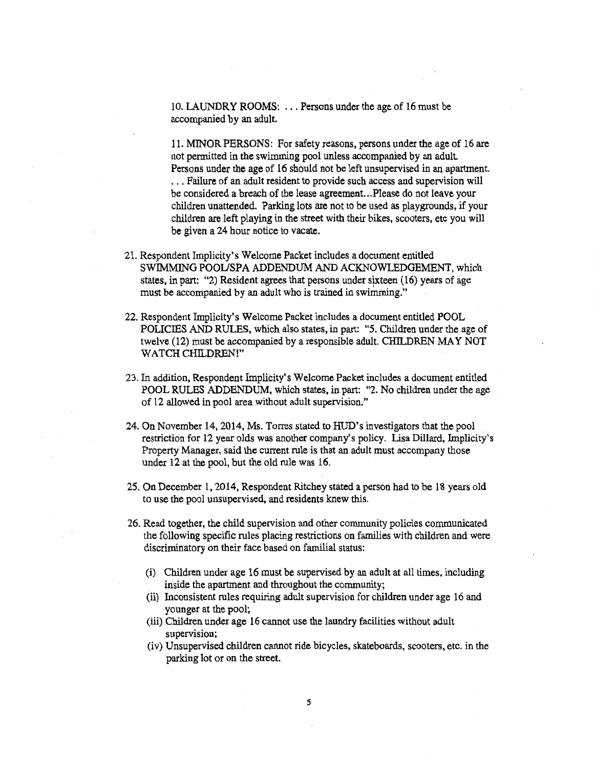10. LAUNDRY ROOMS: ... Persons under the age of 16 must be accompanied by an adult.

11. MINOR PERSONS: For safety reasons, persons under the age of 16 are not permitted in the swimming pool unless accompanied by an adult. Persons under the age of 16 should not be left unsupervised in an apartment. . Failure of an adult resident to provide such access and supervision will be considered a breach of the lease agreement...Please do not leave your children unattended. Parking lots are not to be used as playgrounds, if your children are left playing in the street with their bikes, scooters, etc you will be given a 24 hour notice to vacate.

- 21. Respondent Implicity's Welcome Packet includes a document entitled SWIMMING POOL/SPA ADDENDUM AND ACKNOWLEDGEMENT, which states, in part: "2) Resident agrees that persons under sixteen (16) years of age must be accompanied by an adult who is trained in swimming."
- 22. Respondent Implicity's Welcome Packet includes a document entitled POOL POLICIES AND RULES, which also states, in part: "5. Children under the age of twelve (12) must be accompanied by a responsible adult. CHILDREN MAY NOT WATCH CHILDREN!"
- 23. In addition, Respondent Implicity's Welcome Packet includes a document entitled POOL RULES ADDENDUM, which states, in part: "2. No children under the age of 12 allowed in pool area without adult supervision."
- 24. On November 14, 2014, Ms. Torres stated to HUD's investigators that the pool restriction for 12 year olds was another company's policy. Lisa Dillard, Implicity's Property Manager, said the current rule is that an adult must accompany those under 12 at the pool, but the old rule was 16.
- 25. On December 1, 2014, Respondent Ritchey stated a person had to be 18 years old to use the pool unsupervised, and residents knew this.
- 26. Read together, the child supervision and other community policies communicated the following specific rules placing restrictions on families with children and were discriminatory on their face based on familial status:
	- (i) Children under age 16 must be supervised by an adult at all times, including inside the apartment and throughout the community;
	- (ii) Inconsistent rules requiring adult supervision for children under age 16 and younger at the pool;
	- (iii) Children under age 16 cannot use the laundry facilities without adult supervision;
	- (iv) Unsupervised children cannot ride bicycles, skateboards, scooters, etc. in the parking lot or on the street.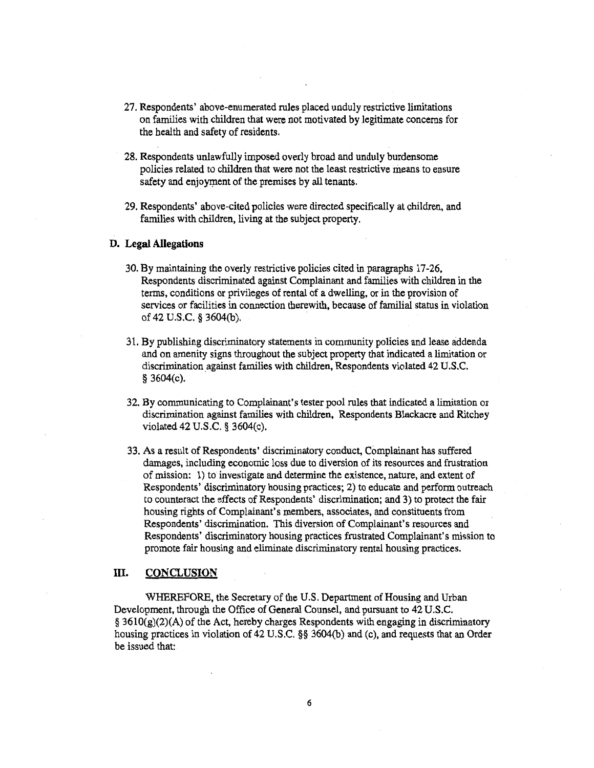- 27. Respondents' above-enumerated rules placed unduly restrictive limitations on families with children that were not motivated by legitimate concerns for the health and safety of residents.
- 28. Respondents unlawfully imposed overly broad and unduly burdensome policies related to children that were not the least restrictive means to ensure safety and enjoyment of the premises by all tenants.
- 29. Respondents' above-cited policies were directed specifically at children, and families with children, living at the subject property.

#### **D. Legal Allegations**

- 30. By maintaining the overly restrictive policies cited in paragraphs 17-26, Respondents discriminated against Complainant and families with children in the terms, conditions or privileges of rental of a dwelling, or in the provision of services or facilities in connection therewith, because of familial status in violation of 42 U.S.C. § 3604(b).
- 31. By publishing discriminatory statements in community policies and lease addenda and on amenity signs throughout the subject property that indicated a limitation or discrimination against families with children, Respondents violated 42 U.S.C. § 3604(c).
- 32. By communicating to Complainant's tester pool rules that indicated a limitation or discrimination against families with children, Respondents Blackacre and Ritchey violated 42 U.S.C. § 3604(c).
- 33. As a result of Respondents' discriminatory conduct, Complainant has suffered damages, including economic loss due to diversion of its resources and frustration of mission: 1) to investigate and determine the existence, nature, and extent of Respondents' discriminatory housing practices; 2) to educate and perform outreach to counteract the effects of Respondents' discrimination; and 3) to protect the fair housing rights of Complainant's members, associates, and constituents from Respondents' discrimination. This diversion of Complainant's resources and Respondents' discriminatory housing practices frustrated Complainant's mission to promote fair housing and eliminate discriminatory rental housing practices.

## **III. CONCLUSION**

WHEREFORE, the Secretary of the U.S. Department of Housing and Urban Development, through the Office of General Counsel, and pursuant to 42 U.S.C.  $\S$  3610(g)(2)(A) of the Act, hereby charges Respondents with engaging in discriminatory housing practices in violation of 42 U.S.C. §§ 3604(b) and (c), and requests that an Order be issued that: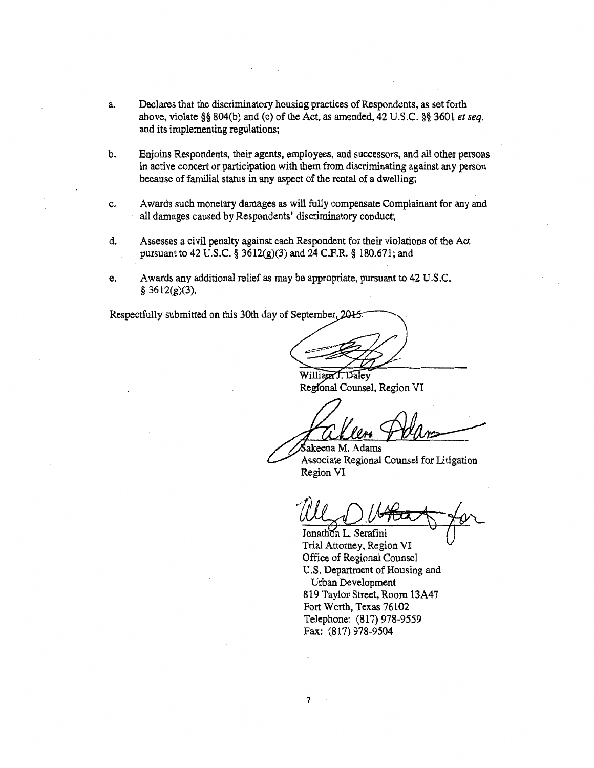- Declares that the discriminatory housing practices of Respondents, as set forth a. above, violate §§ 804(b) and (c) of the Act, as amended, 42 U.S.C. §§ 3601 *et seq.*  and its implementing regulations;
- b. Enjoins Respondents, their agents, employees, and successors, and all other persons in active concert or participation with them from discriminating against any person because of familial status in any aspect of the rental of a dwelling;
- c. Awards such monetary damages as will fully compensate Complainant for any and all damages caused by Respondents' discriminatory conduct;
- d. Assesses a civil penalty against each Respondent for their violations of the Act pursuant to 42 U.S.C. § 3612(g)(3) and 24 C.F.R. § 180.671; and
- e. Awards any additional relief as may be appropriate, pursuant to 42 U.S.C.  $§ 3612(g)(3).$

Respectfully submitted on this 30th day of September, 2015.

William J. Daley Regional Counsel, Region VI

akeena M. Adams Associate Regional Counsel for Litigation Region VI

Jonathon L. Serafini

Trial Attorney, Region VI Office of Regional Counsel U.S. Department of Housing and Urban Development 819 Taylor Street, Room 13A47 Fort Worth, Texas 76102 Telephone: (817) 978-9559 Fax: (817) 978-9504

7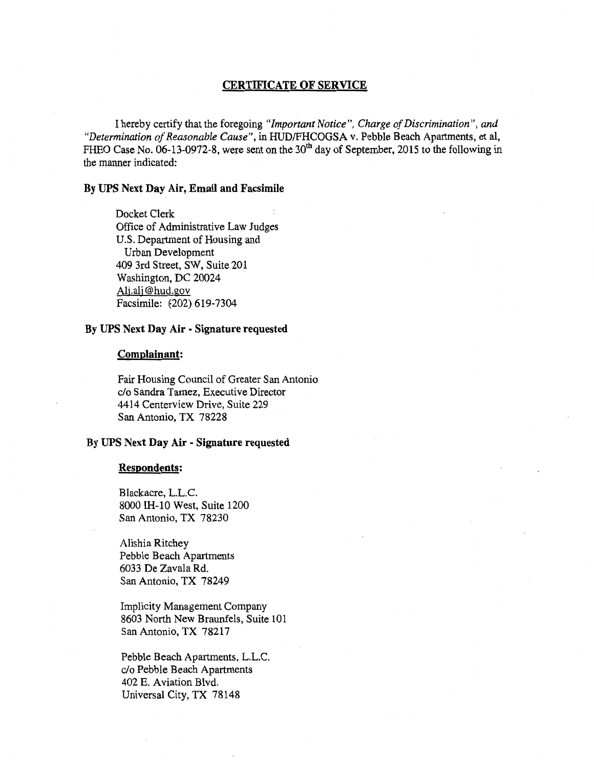## CERTIFICATE OF SERVICE

I hereby certify that the foregoing *"Important Notice", Charge of Discrimination", and "Determination of Reasonable Cause",* in HUD/FHCOGSA v. Pebble Beach Apartments, et al, FHEO Case No. 06-13-0972-8, were sent on the  $30<sup>th</sup>$  day of September, 2015 to the following in the manner indicated:

## By UPS Next Day Air, Email and Facsimile

Docket Clerk Office of Administrative Law Judges U.S. Department of Housing and Urban Development 409 3rd Street, SW, Suite 201 Washington, DC 20024<br>Alj.alj@hud.gov Facsimile: (202) 619-7304

## By UPS Next Day Air - Signature requested

#### Complainant:

Fair Housing Council of Greater San Antonio c/o Sandra Tamez, Executive Director 4414 Centerview Drive, Suite 229 San Antonio, **TX 78228** 

## **By UPS Next Day Air - Signature requested**

### **Respondents:**

Blackacre, L.L.C. 80001H-10 West, Suite 1200 San Antonio, TX 78230

Alishia Ritchey Pebble Beach Apartments 6033 De Zavala Rd. San Antonio, TX 78249

Implicity Management Company 8603 North New Braunfels, Suite 101 San Antonio, TX 78217

Pebble Beach Apartments, L.L.C. c/o Pebble Beach Apartments 402 E. Aviation Blvd. Universal City, TX 78148